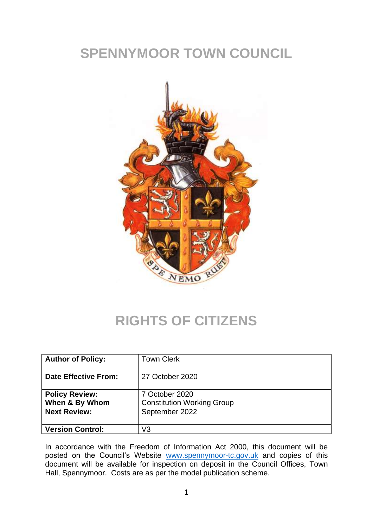## **SPENNYMOOR TOWN COUNCIL**



## **RIGHTS OF CITIZENS**

| <b>Author of Policy:</b>                | <b>Town Clerk</b>                                   |
|-----------------------------------------|-----------------------------------------------------|
| <b>Date Effective From:</b>             | 27 October 2020                                     |
| <b>Policy Review:</b><br>When & By Whom | 7 October 2020<br><b>Constitution Working Group</b> |
| <b>Next Review:</b>                     | September 2022                                      |
| <b>Version Control:</b>                 | V3                                                  |

In accordance with the Freedom of Information Act 2000, this document will be posted on the Council's Website [www.spennymoor-tc.gov.uk](http://www.spennymoor-tc.gov.uk/) and copies of this document will be available for inspection on deposit in the Council Offices, Town Hall, Spennymoor. Costs are as per the model publication scheme.